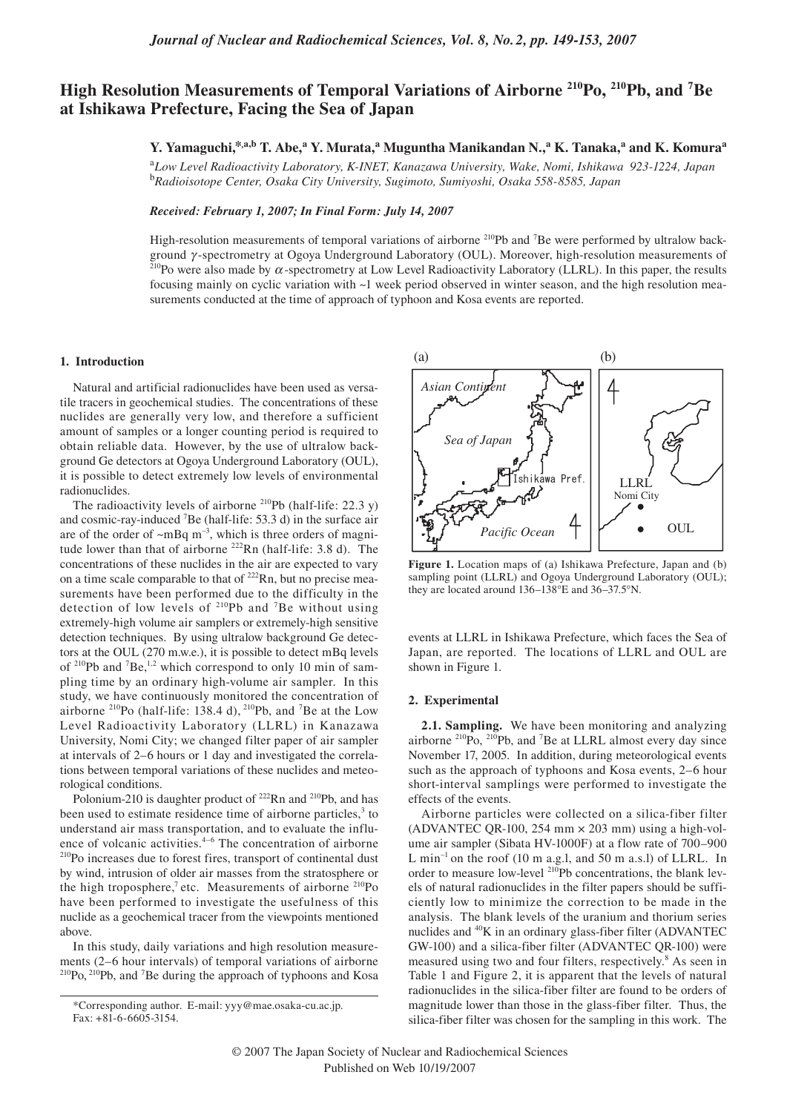# High Resolution Measurements of Temporal Variations of Airborne<sup>210</sup>Po, <sup>210</sup>Pb, and <sup>7</sup>Be **at Ishikawa Prefecture, Facing the Sea of Japan**

**Y. Yamaguchi,\*,a,b T. Abe,a Y. Murata,a Muguntha Manikandan N., <sup>a</sup> K. Tanaka, <sup>a</sup> and K. Komura<sup>a</sup>** 

<sup>a</sup>*Low Level Radioactivity Laboratory, K-INET, Kanazawa University, Wake, Nomi, Ishikawa 923-1224, Japan* <sup>b</sup>*Radioisotope Center, Osaka City University, Sugimoto, Sumiyoshi, Osaka 558-8585, Japan*

*Received: February 1, 2007; In Final Form: July 14, 2007*

High-resolution measurements of temporal variations of airborne <sup>210</sup>Pb and <sup>7</sup>Be were performed by ultralow background γ-spectrometry at Ogoya Underground Laboratory (OUL). Moreover, high-resolution measurements of <sup>210</sup>Po were also made by α-spectrometry at Low Level Radioactivity Laboratory (LLRL). In this paper, the results focusing mainly on cyclic variation with ~1 week period observed in winter season, and the high resolution measurements conducted at the time of approach of typhoon and Kosa events are reported.

## **1. Introduction**

Natural and artificial radionuclides have been used as versatile tracers in geochemical studies. The concentrations of these nuclides are generally very low, and therefore a sufficient amount of samples or a longer counting period is required to obtain reliable data. However, by the use of ultralow background Ge detectors at Ogoya Underground Laboratory (OUL), it is possible to detect extremely low levels of environmental radionuclides.

The radioactivity levels of airborne  $2^{10}Pb$  (half-life: 22.3 y) and cosmic-ray-induced 7 Be (half-life: 53.3 d) in the surface air are of the order of  $\sim$ mBq m<sup>-3</sup>, which is three orders of magnitude lower than that of airborne <sup>222</sup>Rn (half-life: 3.8 d). The concentrations of these nuclides in the air are expected to vary on a time scale comparable to that of <sup>222</sup>Rn, but no precise measurements have been performed due to the difficulty in the detection of low levels of  $2^{10}Pb$  and <sup>7</sup>Be without using extremely-high volume air samplers or extremely-high sensitive detection techniques. By using ultralow background Ge detectors at the OUL (270 m.w.e.), it is possible to detect mBq levels of  $2^{10}$ Pb and  $7$ Be,<sup>1,2</sup> which correspond to only 10 min of sampling time by an ordinary high-volume air sampler. In this study, we have continuously monitored the concentration of airborne  $^{210}$ Po (half-life: 138.4 d),  $^{210}$ Pb, and <sup>7</sup>Be at the Low Level Radioactivity Laboratory (LLRL) in Kanazawa University, Nomi City; we changed filter paper of air sampler at intervals of 2–6 hours or 1 day and investigated the correlations between temporal variations of these nuclides and meteorological conditions.

Polonium-210 is daughter product of <sup>222</sup>Rn and <sup>210</sup>Pb, and has been used to estimate residence time of airborne particles, $3$  to understand air mass transportation, and to evaluate the influ-<br>ence of volcanic activities.<sup>4-6</sup> The concentration of airborne <sup>210</sup>Po increases due to forest fires, transport of continental dust by wind, intrusion of older air masses from the stratosphere or the high troposphere,<sup>7</sup> etc. Measurements of airborne <sup>210</sup>Po have been performed to investigate the usefulness of this nuclide as a geochemical tracer from the viewpoints mentioned above.

In this study, daily variations and high resolution measurements (2–6 hour intervals) of temporal variations of airborne <sup>210</sup>Po, <sup>210</sup>Pb, and <sup>7</sup>Be during the approach of typhoons and Kosa



**Figure 1.** Location maps of (a) Ishikawa Prefecture, Japan and (b) sampling point (LLRL) and Ogoya Underground Laboratory (OUL); they are located around 136–138°E and 36–37.5°N.

events at LLRL in Ishikawa Prefecture, which faces the Sea of Japan, are reported. The locations of LLRL and OUL are shown in Figure 1.

## **2. Experimental**

**2.1. Sampling.** We have been monitoring and analyzing airborne <sup>210</sup>Po, <sup>210</sup>Pb, and <sup>7</sup>Be at LLRL almost every day since November 17, 2005. In addition, during meteorological events such as the approach of typhoons and Kosa events, 2–6 hour short-interval samplings were performed to investigate the effects of the events.

Airborne particles were collected on a silica-fiber filter (ADVANTEC QR-100, 254 mm  $\times$  203 mm) using a high-volume air sampler (Sibata HV-1000F) at a flow rate of 700–900 L min<sup>-1</sup> on the roof (10 m a.g.l, and 50 m a.s.l) of LLRL. In order to measure low-level <sup>210</sup>Pb concentrations, the blank levels of natural radionuclides in the filter papers should be sufficiently low to minimize the correction to be made in the analysis. The blank levels of the uranium and thorium series nuclides and 40K in an ordinary glass-fiber filter (ADVANTEC GW-100) and a silica-fiber filter (ADVANTEC QR-100) were measured using two and four filters, respectively.<sup>8</sup> As seen in Table 1 and Figure 2, it is apparent that the levels of natural radionuclides in the silica-fiber filter are found to be orders of magnitude lower than those in the glass-fiber filter. Thus, the silica-fiber filter was chosen for the sampling in this work. The

<sup>\*</sup>Corresponding author. E-mail: yyy@mae.osaka-cu.ac.jp. Fax: +81-6-6605-3154.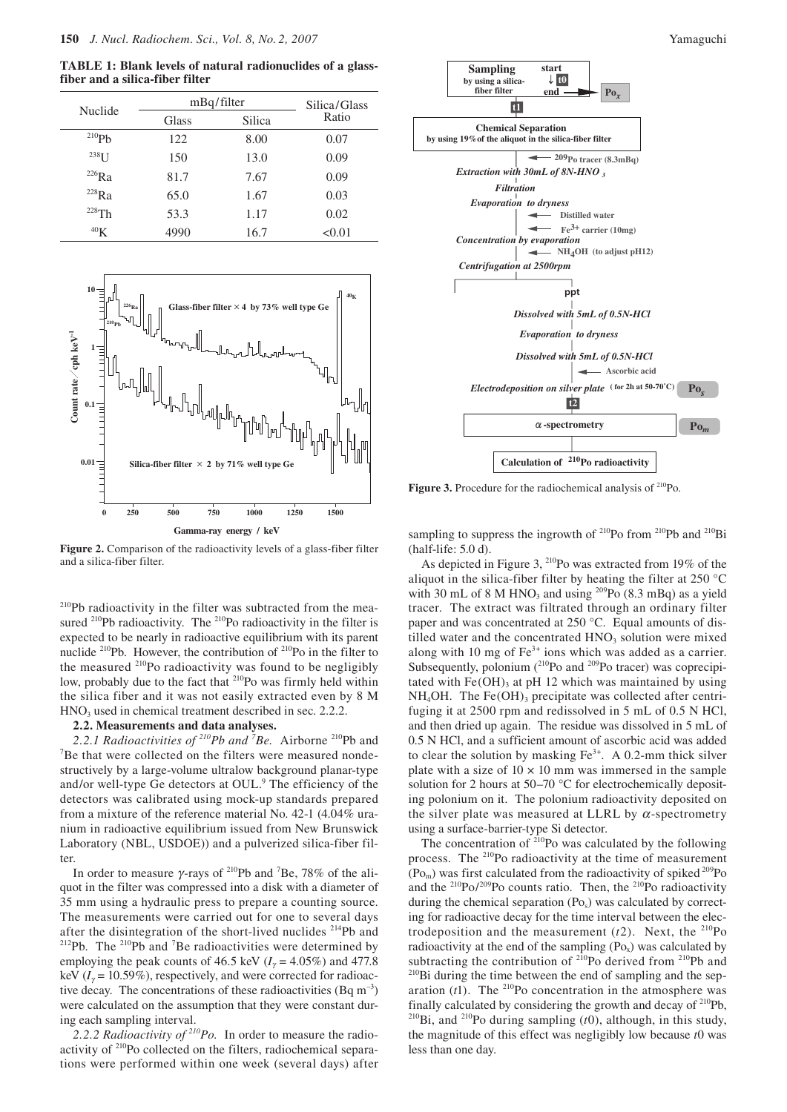**TABLE 1: Blank levels of natural radionuclides of a glassfiber and a silica-fiber filter**

| <b>Nuclide</b>  | mBq/filter |        | Silica/Glass |
|-----------------|------------|--------|--------------|
|                 | Glass      | Silica | Ratio        |
| $^{210}Ph$      | 122        | 8.00   | 0.07         |
| $^{238}$ I J    | 150        | 13.0   | 0.09         |
| $^{226}Ra$      | 81.7       | 7.67   | 0.09         |
| $^{228}Ra$      | 65.0       | 1.67   | 0.03         |
| $228$ Th        | 53.3       | 1.17   | 0.02         |
| 40 <sub>K</sub> | 4990       | 16.7   | < 0.01       |



**Figure 2.** Comparison of the radioactivity levels of a glass-fiber filter and a silica-fiber filter.

210Pb radioactivity in the filter was subtracted from the measured <sup>210</sup>Pb radioactivity. The <sup>210</sup>Po radioactivity in the filter is expected to be nearly in radioactive equilibrium with its parent nuclide 210Pb. However, the contribution of 210Po in the filter to the measured 210Po radioactivity was found to be negligibly low, probably due to the fact that <sup>210</sup>Po was firmly held within the silica fiber and it was not easily extracted even by 8 M HNO<sub>3</sub> used in chemical treatment described in sec. 2.2.2.

#### **2.2. Measurements and data analyses.**

2.2.1 Radioactivities of <sup>210</sup>Pb and <sup>7</sup>Be. Airborne <sup>210</sup>Pb and <sup>7</sup>Be that were collected on the filters were measured ponde. <sup>7</sup>Be that were collected on the filters were measured nondestructively by a large-volume ultralow background planar-type and/or well-type Ge detectors at OUL.<sup>9</sup> The efficiency of the detectors was calibrated using mock-up standards prepared from a mixture of the reference material No. 42-1 (4.04% uranium in radioactive equilibrium issued from New Brunswick Laboratory (NBL, USDOE)) and a pulverized silica-fiber filter.

In order to measure  $\gamma$ -rays of <sup>210</sup>Pb and <sup>7</sup>Be, 78% of the aliquot in the filter was compressed into a disk with a diameter of 35 mm using a hydraulic press to prepare a counting source. The measurements were carried out for one to several days after the disintegration of the short-lived nuclides  $^{214}Pb$  and  $^{212}Pb$ . The  $^{210}Pb$  and <sup>7</sup>Be radioactivities were determined by employing the peak counts of 46.5 keV ( $I<sub>y</sub> = 4.05\%$ ) and 477.8 keV ( $I_{\gamma}$  = 10.59%), respectively, and were corrected for radioactive decay. The concentrations of these radioactivities (Bq  $m^{-3}$ ) were calculated on the assumption that they were constant during each sampling interval.

*2.2.2 Radioactivity of 210Po.* In order to measure the radioactivity of 210Po collected on the filters, radiochemical separations were performed within one week (several days) after



Figure 3. Procedure for the radiochemical analysis of <sup>210</sup>Po.

sampling to suppress the ingrowth of  $^{210}Po$  from  $^{210}Pb$  and  $^{210}Bi$ (half-life: 5.0 d).

As depicted in Figure 3, <sup>210</sup>Po was extracted from 19% of the aliquot in the silica-fiber filter by heating the filter at 250 °C with 30 mL of 8 M HNO<sub>3</sub> and using <sup>209</sup>Po (8.3 mBq) as a yield tracer. The extract was filtrated through an ordinary filter paper and was concentrated at 250 °C. Equal amounts of distilled water and the concentrated  $HNO<sub>3</sub>$  solution were mixed along with 10 mg of  $Fe<sup>3+</sup>$  ions which was added as a carrier. Subsequently, polonium  $(^{210}Po$  and  $^{209}Po$  tracer) was coprecipitated with  $Fe(OH)$ <sub>3</sub> at pH 12 which was maintained by using  $NH<sub>4</sub>OH$ . The Fe(OH)<sub>3</sub> precipitate was collected after centrifuging it at 2500 rpm and redissolved in 5 mL of 0.5 N HCl, and then dried up again. The residue was dissolved in 5 mL of 0.5 N HCl, and a sufficient amount of ascorbic acid was added to clear the solution by masking  $Fe<sup>3+</sup>$ . A 0.2-mm thick silver plate with a size of  $10 \times 10$  mm was immersed in the sample solution for 2 hours at 50–70 °C for electrochemically depositing polonium on it. The polonium radioactivity deposited on the silver plate was measured at LLRL by  $\alpha$ -spectrometry using a surface-barrier-type Si detector.

The concentration of  $^{210}$ Po was calculated by the following process. The <sup>210</sup>Po radioactivity at the time of measurement  $(Po_m)$  was first calculated from the radioactivity of spiked <sup>209</sup>Po and the  $^{210}Po/^{209}Po$  counts ratio. Then, the  $^{210}Po$  radioactivity during the chemical separation  $(Po_s)$  was calculated by correcting for radioactive decay for the time interval between the electrodeposition and the measurement  $(t2)$ . Next, the <sup>210</sup>Po radioactivity at the end of the sampling  $(Po_x)$  was calculated by subtracting the contribution of  $^{210}Po$  derived from  $^{210}Pb$  and  $^{210}Bi$  during the time between the end of sampling and the separation  $(t1)$ . The <sup>210</sup>Po concentration in the atmosphere was finally calculated by considering the growth and decay of 210Pb, 210Bi, and 210Po during sampling (*t*0), although, in this study, the magnitude of this effect was negligibly low because *t*0 was less than one day.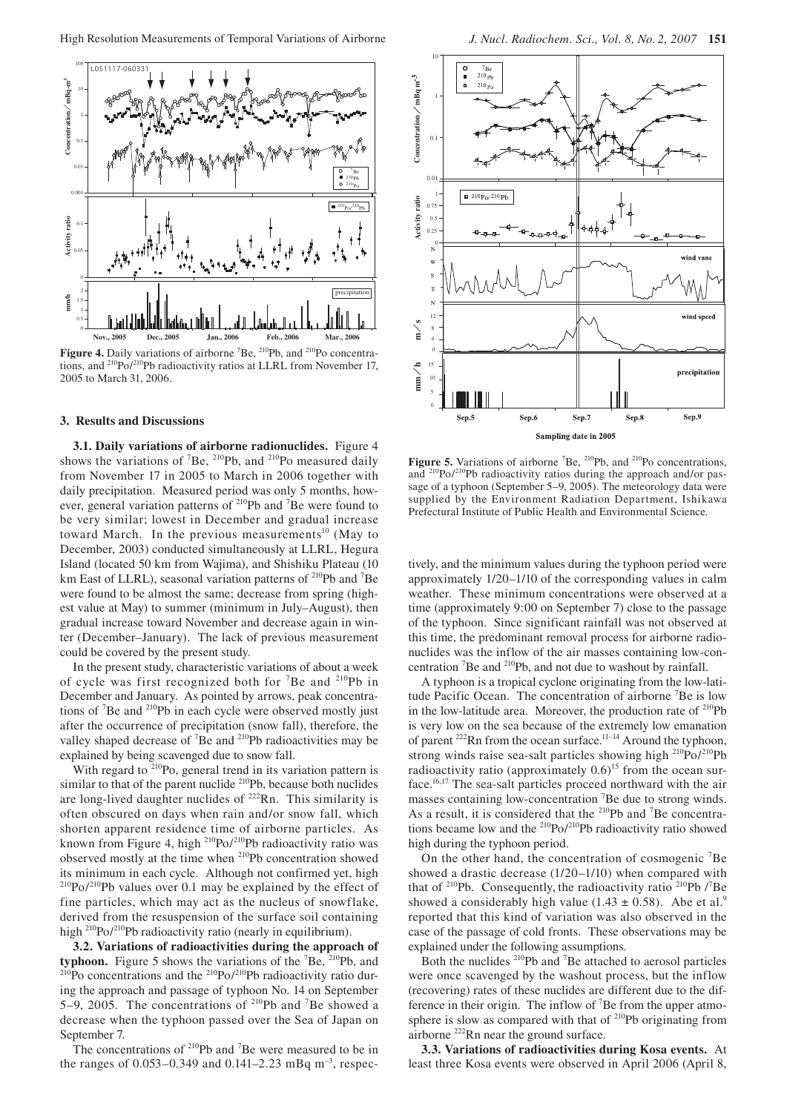

Figure 4. Daily variations of airborne <sup>7</sup>Be, <sup>210</sup>Pb, and <sup>210</sup>Po concentrations, and 210Po/210Pb radioactivity ratios at LLRL from November 17, 2005 to March 31, 2006.

## **3. Results and Discussions**

**3.1. Daily variations of airborne radionuclides.** Figure 4 shows the variations of <sup>7</sup>Be, <sup>210</sup>Pb, and <sup>210</sup>Po measured daily from November 17 in 2005 to March in 2006 together with daily precipitation. Measured period was only 5 months, however, general variation patterns of <sup>210</sup>Pb and <sup>7</sup>Be were found to be very similar; lowest in December and gradual increase toward March. In the previous measurements<sup>10</sup> (May to December, 2003) conducted simultaneously at LLRL, Hegura Island (located 50 km from Wajima), and Shishiku Plateau (10 km East of LLRL), seasonal variation patterns of <sup>210</sup>Pb and <sup>7</sup>Be were found to be almost the same; decrease from spring (highest value at May) to summer (minimum in July–August), then gradual increase toward November and decrease again in winter (December–January). The lack of previous measurement could be covered by the present study.

In the present study, characteristic variations of about a week of cycle was first recognized both for <sup>7</sup>Be and <sup>210</sup>Pb in December and January. As pointed by arrows, peak concentrations of  ${}^{7}$ Be and  ${}^{210}$ Pb in each cycle were observed mostly just after the occurrence of precipitation (snow fall), therefore, the valley shaped decrease of  ${}^{7}$ Be and  ${}^{210}$ Pb radioactivities may be explained by being scavenged due to snow fall.

With regard to  $2^{10}$ Po, general trend in its variation pattern is similar to that of the parent nuclide <sup>210</sup>Pb, because both nuclides are long-lived daughter nuclides of  $^{222}$ Rn. This similarity is often obscured on days when rain and/or snow fall, which shorten apparent residence time of airborne particles. As known from Figure 4, high <sup>210</sup>Po/<sup>210</sup>Pb radioactivity ratio was observed mostly at the time when 210Pb concentration showed its minimum in each cycle. Although not confirmed yet, high  $^{210}Po/^{210}Pb$  values over 0.1 may be explained by the effect of fine particles, which may act as the nucleus of snowflake, derived from the resuspension of the surface soil containing high <sup>210</sup>Po/<sup>210</sup>Pb radioactivity ratio (nearly in equilibrium).

**3.2. Variations of radioactivities during the approach of typhoon.** Figure 5 shows the variations of the  ${}^{7}Be$ ,  ${}^{210}Pb$ , and  $^{210}$ Po concentrations and the  $^{210}$ Po/<sup>210</sup>Pb radioactivity ratio during the approach and passage of typhoon No. 14 on September 5–9, 2005. The concentrations of  $2^{10}Pb$  and <sup>7</sup>Be showed a decrease when the typhoon passed over the Sea of Japan on September 7.



Figure 5. Variations of airborne <sup>7</sup>Be, <sup>210</sup>Pb, and <sup>210</sup>Po concentrations, and 210Po/210Pb radioactivity ratios during the approach and/or passage of a typhoon (September 5–9, 2005). The meteorology data were supplied by the Environment Radiation Department, Ishikawa Prefectural Institute of Public Health and Environmental Science.

tively, and the minimum values during the typhoon period were approximately 1/20–1/10 of the corresponding values in calm weather. These minimum concentrations were observed at a time (approximately 9:00 on September 7) close to the passage of the typhoon. Since significant rainfall was not observed at this time, the predominant removal process for airborne radionuclides was the inflow of the air masses containing low-concentration <sup>7</sup>Be and <sup>210</sup>Pb, and not due to washout by rainfall.

A typhoon is a tropical cyclone originating from the low-latitude Pacific Ocean. The concentration of airborne <sup>7</sup>Be is low in the low-latitude area. Moreover, the production rate of  $^{210}Pb$ is very low on the sea because of the extremely low emanation of parent <sup>222</sup>Rn from the ocean surface.<sup>11-14</sup> Around the typhoon, strong winds raise sea-salt particles showing high  $^{210}Po/^{210}Pb$ radioactivity ratio (approximately  $0.6$ )<sup>15</sup> from the ocean surface.16,17 The sea-salt particles proceed northward with the air masses containing low-concentration <sup>7</sup>Be due to strong winds. As a result, it is considered that the  $2^{10}Pb$  and <sup>7</sup>Be concentrations became low and the 210Po/210Pb radioactivity ratio showed high during the typhoon period.

On the other hand, the concentration of cosmogenic <sup>7</sup>Be showed a drastic decrease (1/20–1/10) when compared with that of  $^{210}Pb$ . Consequently, the radioactivity ratio  $^{210}Pb$  /<sup>7</sup>Be showed a considerably high value (1.43  $\pm$  0.58). Abe et al.<sup>9</sup> reported that this kind of variation was also observed in the case of the passage of cold fronts. These observations may be explained under the following assumptions.

Both the nuclides <sup>210</sup>Pb and <sup>7</sup>Be attached to aerosol particles were once scavenged by the washout process, but the inflow (recovering) rates of these nuclides are different due to the difference in their origin. The inflow of  $\mathrm{^{7}Be}$  from the upper atmosphere is slow as compared with that of  $210Pb$  originating from airborne 222Rn near the ground surface.

**3.3. Variations of radioactivities during Kosa events.** At least three Kosa events were observed in April 2006 (April 8,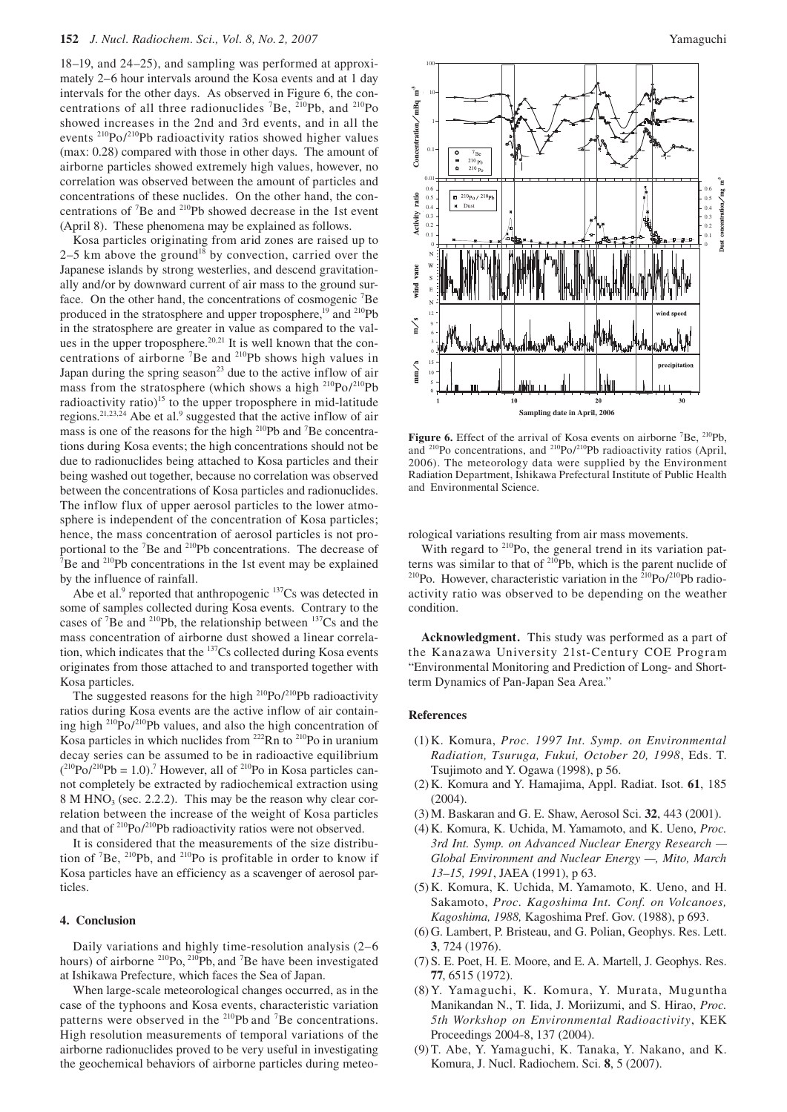18–19, and 24–25), and sampling was performed at approximately 2–6 hour intervals around the Kosa events and at 1 day intervals for the other days. As observed in Figure 6, the concentrations of all three radionuclides  $^7$ Be,  $^{210}$ Pb, and  $^{210}$ Po showed increases in the 2nd and 3rd events, and in all the events 210Po/210Pb radioactivity ratios showed higher values (max: 0.28) compared with those in other days. The amount of airborne particles showed extremely high values, however, no correlation was observed between the amount of particles and concentrations of these nuclides. On the other hand, the concentrations of  ${}^{7}$ Be and  ${}^{210}$ Pb showed decrease in the 1st event (April 8). These phenomena may be explained as follows.

Kosa particles originating from arid zones are raised up to 2–5 km above the ground<sup>18</sup> by convection, carried over the Japanese islands by strong westerlies, and descend gravitationally and/or by downward current of air mass to the ground surface. On the other hand, the concentrations of cosmogenic <sup>7</sup>Be produced in the stratosphere and upper troposphere,<sup>19</sup> and <sup>210</sup>Pb in the stratosphere are greater in value as compared to the values in the upper troposphere.<sup>20,21</sup> It is well known that the concentrations of airborne<sup>7</sup>Be and <sup>210</sup>Pb shows high values in Japan during the spring season<sup>23</sup> due to the active inflow of air mass from the stratosphere (which shows a high <sup>210</sup>Po/<sup>210</sup>Pb radioactivity ratio)<sup>15</sup> to the upper troposphere in mid-latitude regions.<sup>21,23,24</sup> Abe et al.<sup>9</sup> suggested that the active inflow of air mass is one of the reasons for the high <sup>210</sup>Pb and <sup>7</sup>Be concentrations during Kosa events; the high concentrations should not be due to radionuclides being attached to Kosa particles and their being washed out together, because no correlation was observed between the concentrations of Kosa particles and radionuclides. The inflow flux of upper aerosol particles to the lower atmosphere is independent of the concentration of Kosa particles; hence, the mass concentration of aerosol particles is not proportional to the <sup>7</sup>Be and <sup>210</sup>Pb concentrations. The decrease of  ${}^{7}P_0$  and <sup>210</sup>Pb concentrations in the 1st quant may be explained  $B^7$ Be and  $2^{10}$ Pb concentrations in the 1st event may be explained by the influence of rainfall.

Abe et al.<sup>9</sup> reported that anthropogenic <sup>137</sup>Cs was detected in some of samples collected during Kosa events. Contrary to the cases of <sup>7</sup>Be and <sup>210</sup>Pb, the relationship between  $137Cs$  and the mass concentration of airborne dust showed a linear correlation, which indicates that the <sup>137</sup>Cs collected during Kosa events originates from those attached to and transported together with Kosa particles.

The suggested reasons for the high  $210P_0/210P_0$  radioactivity ratios during Kosa events are the active inflow of air containing high  $^{210}Po/^{210}Pb$  values, and also the high concentration of Kosa particles in which nuclides from <sup>222</sup>Rn to <sup>210</sup>Po in uranium decay series can be assumed to be in radioactive equilibrium  $(^{210}Po/^{210}Pb = 1.0)$ .<sup>7</sup> However, all of <sup>210</sup>Po in Kosa particles cannot completely be extracted by radiochemical extraction using  $8 \text{ M HNO}_3$  (sec. 2.2.2). This may be the reason why clear correlation between the increase of the weight of Kosa particles and that of <sup>210</sup>Po/<sup>210</sup>Pb radioactivity ratios were not observed.

It is considered that the measurements of the size distribution of  ${}^{7}Be$ ,  ${}^{210}Pb$ , and  ${}^{210}Po$  is profitable in order to know if Kosa particles have an efficiency as a scavenger of aerosol particles.

## **4. Conclusion**

Daily variations and highly time-resolution analysis (2–6 hours) of airborne  $^{210}$ Po,  $^{210}$ Pb, and <sup>7</sup>Be have been investigated at Ishikawa Prefecture, which faces the Sea of Japan.

When large-scale meteorological changes occurred, as in the case of the typhoons and Kosa events, characteristic variation patterns were observed in the <sup>210</sup>Pb and <sup>7</sup>Be concentrations. High resolution measurements of temporal variations of the airborne radionuclides proved to be very useful in investigating the geochemical behaviors of airborne particles during meteo-



Figure 6. Effect of the arrival of Kosa events on airborne <sup>7</sup>Be, <sup>210</sup>Pb, and  $^{210}$ Po concentrations, and  $^{210}$ Po/ $^{210}$ Pb radioactivity ratios (April, 2006). The meteorology data were supplied by the Environment Radiation Department, Ishikawa Prefectural Institute of Public Health and Environmental Science.

rological variations resulting from air mass movements.

With regard to <sup>210</sup>Po, the general trend in its variation patterns was similar to that of <sup>210</sup>Pb, which is the parent nuclide of <sup>210</sup>Po. However, characteristic variation in the <sup>210</sup>Po/<sup>210</sup>Pb radioactivity ratio was observed to be depending on the weather condition.

**Acknowledgment.** This study was performed as a part of the Kanazawa University 21st-Century COE Program "Environmental Monitoring and Prediction of Long- and Shortterm Dynamics of Pan-Japan Sea Area."

# **References**

- (1) K. Komura, *Proc. 1997 Int. Symp. on Environmental Radiation, Tsuruga, Fukui, October 20, 1998*, Eds. T. Tsujimoto and Y. Ogawa (1998), p 56.
- (2) K. Komura and Y. Hamajima, Appl. Radiat. Isot. **61**, 185 (2004).
- (3) M. Baskaran and G. E. Shaw, Aerosol Sci. **32**, 443 (2001).
- (4) K. Komura, K. Uchida, M. Yamamoto, and K. Ueno, *Proc. 3rd Int. Symp. on Advanced Nuclear Energy Research — Global Environment and Nuclear Energy —, Mito, March 13–15, 1991*, JAEA (1991), p 63.
- (5) K. Komura, K. Uchida, M. Yamamoto, K. Ueno, and H. Sakamoto, *Proc. Kagoshima Int. Conf. on Volcanoes, Kagoshima, 1988,* Kagoshima Pref. Gov. (1988), p 693.
- (6) G. Lambert, P. Bristeau, and G. Polian, Geophys. Res. Lett. **3**, 724 (1976).
- (7) S. E. Poet, H. E. Moore, and E. A. Martell, J. Geophys. Res. **77**, 6515 (1972).
- (8) Y. Yamaguchi, K. Komura, Y. Murata, Muguntha Manikandan N., T. Iida, J. Moriizumi, and S. Hirao, *Proc. 5th Workshop on Environmental Radioactivity*, KEK Proceedings 2004-8, 137 (2004).
- (9) T. Abe, Y. Yamaguchi, K. Tanaka, Y. Nakano, and K. Komura, J. Nucl. Radiochem. Sci. **8**, 5 (2007).